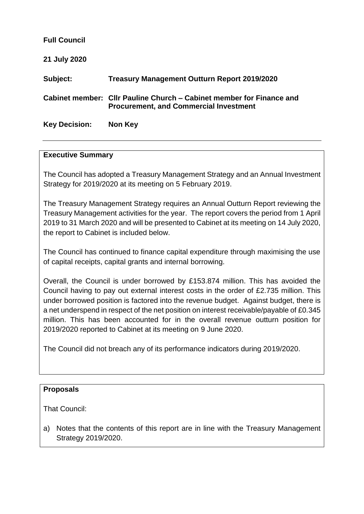| <b>Full Council</b>  |                                                                                                                       |
|----------------------|-----------------------------------------------------------------------------------------------------------------------|
| 21 July 2020         |                                                                                                                       |
| Subject:             | <b>Treasury Management Outturn Report 2019/2020</b>                                                                   |
|                      | Cabinet member: Cllr Pauline Church – Cabinet member for Finance and<br><b>Procurement, and Commercial Investment</b> |
| <b>Key Decision:</b> | Non Key                                                                                                               |

#### **Executive Summary**

The Council has adopted a Treasury Management Strategy and an Annual Investment Strategy for 2019/2020 at its meeting on 5 February 2019.

The Treasury Management Strategy requires an Annual Outturn Report reviewing the Treasury Management activities for the year. The report covers the period from 1 April 2019 to 31 March 2020 and will be presented to Cabinet at its meeting on 14 July 2020, the report to Cabinet is included below.

The Council has continued to finance capital expenditure through maximising the use of capital receipts, capital grants and internal borrowing.

Overall, the Council is under borrowed by £153.874 million. This has avoided the Council having to pay out external interest costs in the order of £2.735 million. This under borrowed position is factored into the revenue budget. Against budget, there is a net underspend in respect of the net position on interest receivable/payable of £0.345 million. This has been accounted for in the overall revenue outturn position for 2019/2020 reported to Cabinet at its meeting on 9 June 2020.

The Council did not breach any of its performance indicators during 2019/2020.

## **Proposals**

That Council:

a) Notes that the contents of this report are in line with the Treasury Management Strategy 2019/2020.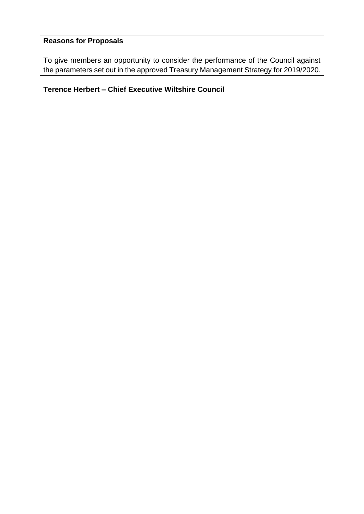# **Reasons for Proposals**

To give members an opportunity to consider the performance of the Council against the parameters set out in the approved Treasury Management Strategy for 2019/2020.

# **Terence Herbert – Chief Executive Wiltshire Council**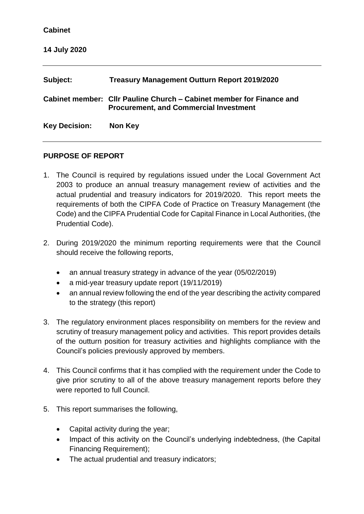| Subject:             | Treasury Management Outturn Report 2019/2020                                                                          |
|----------------------|-----------------------------------------------------------------------------------------------------------------------|
|                      | Cabinet member: Cllr Pauline Church – Cabinet member for Finance and<br><b>Procurement, and Commercial Investment</b> |
| <b>Key Decision:</b> | Non Key                                                                                                               |

#### **PURPOSE OF REPORT**

- 1. The Council is required by regulations issued under the Local Government Act 2003 to produce an annual treasury management review of activities and the actual prudential and treasury indicators for 2019/2020. This report meets the requirements of both the CIPFA Code of Practice on Treasury Management (the Code) and the CIPFA Prudential Code for Capital Finance in Local Authorities, (the Prudential Code).
- 2. During 2019/2020 the minimum reporting requirements were that the Council should receive the following reports,
	- an annual treasury strategy in advance of the year (05/02/2019)
	- a mid-year treasury update report (19/11/2019)
	- an annual review following the end of the year describing the activity compared to the strategy (this report)
- 3. The regulatory environment places responsibility on members for the review and scrutiny of treasury management policy and activities. This report provides details of the outturn position for treasury activities and highlights compliance with the Council's policies previously approved by members.
- 4. This Council confirms that it has complied with the requirement under the Code to give prior scrutiny to all of the above treasury management reports before they were reported to full Council.
- 5. This report summarises the following,
	- Capital activity during the year;
	- Impact of this activity on the Council's underlying indebtedness, (the Capital Financing Requirement);
	- The actual prudential and treasury indicators;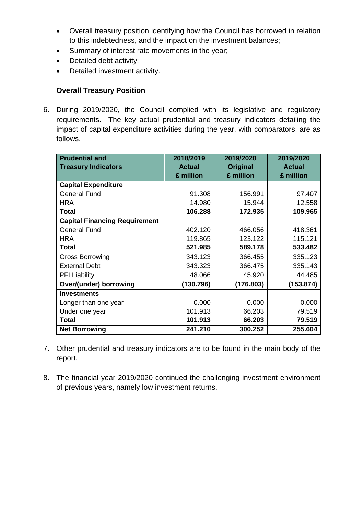- Overall treasury position identifying how the Council has borrowed in relation to this indebtedness, and the impact on the investment balances;
- Summary of interest rate movements in the year;
- Detailed debt activity;
- Detailed investment activity.

## **Overall Treasury Position**

6. During 2019/2020, the Council complied with its legislative and regulatory requirements. The key actual prudential and treasury indicators detailing the impact of capital expenditure activities during the year, with comparators, are as follows,

| <b>Prudential and</b><br><b>Treasury Indicators</b> | 2018/2019<br><b>Actual</b> | 2019/2020<br><b>Original</b> | 2019/2020<br><b>Actual</b> |
|-----------------------------------------------------|----------------------------|------------------------------|----------------------------|
|                                                     | £ million                  | £ million                    | £ million                  |
| <b>Capital Expenditure</b>                          |                            |                              |                            |
| <b>General Fund</b>                                 | 91.308                     | 156.991                      | 97.407                     |
| <b>HRA</b>                                          | 14.980                     | 15.944                       | 12.558                     |
| Total                                               | 106.288                    | 172.935                      | 109.965                    |
| <b>Capital Financing Requirement</b>                |                            |                              |                            |
| <b>General Fund</b>                                 | 402.120                    | 466.056                      | 418.361                    |
| <b>HRA</b>                                          | 119.865                    | 123.122                      | 115.121                    |
| <b>Total</b>                                        | 521.985                    | 589.178                      | 533.482                    |
| <b>Gross Borrowing</b>                              | 343.123                    | 366.455                      | 335.123                    |
| <b>External Debt</b>                                | 343.323                    | 366.475                      | 335.143                    |
| <b>PFI Liability</b>                                | 48.066                     | 45.920                       | 44.485                     |
| Over/(under) borrowing                              | (130.796)                  | (176.803)                    | (153.874)                  |
| <b>Investments</b>                                  |                            |                              |                            |
| Longer than one year                                | 0.000                      | 0.000                        | 0.000                      |
| Under one year                                      | 101.913                    | 66.203                       | 79.519                     |
| <b>Total</b>                                        | 101.913                    | 66.203                       | 79.519                     |
| <b>Net Borrowing</b>                                | 241.210                    | 300.252                      | 255.604                    |

- 7. Other prudential and treasury indicators are to be found in the main body of the report.
- 8. The financial year 2019/2020 continued the challenging investment environment of previous years, namely low investment returns.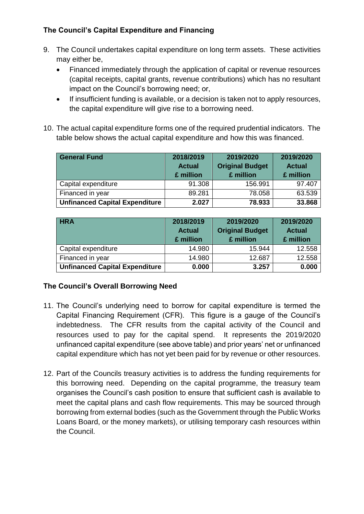# **The Council's Capital Expenditure and Financing**

- 9. The Council undertakes capital expenditure on long term assets. These activities may either be,
	- Financed immediately through the application of capital or revenue resources (capital receipts, capital grants, revenue contributions) which has no resultant impact on the Council's borrowing need; or,
	- If insufficient funding is available, or a decision is taken not to apply resources, the capital expenditure will give rise to a borrowing need.
- 10. The actual capital expenditure forms one of the required prudential indicators. The table below shows the actual capital expenditure and how this was financed.

| <b>General Fund</b>                   | 2018/2019<br><b>Actual</b><br>£ million | 2019/2020<br><b>Original Budget</b><br>£ million | 2019/2020<br><b>Actual</b><br>£ million |
|---------------------------------------|-----------------------------------------|--------------------------------------------------|-----------------------------------------|
| Capital expenditure                   | 91.308                                  | 156.991                                          | 97.407                                  |
| Financed in year                      | 89.281                                  | 78.058                                           | 63.539                                  |
| <b>Unfinanced Capital Expenditure</b> | 2.027                                   | 78.933                                           | 33.868                                  |

| <b>HRA</b>                            | 2018/2019<br><b>Actual</b><br>£ million | 2019/2020<br><b>Original Budget</b><br>£ million | 2019/2020<br><b>Actual</b><br>£ million |
|---------------------------------------|-----------------------------------------|--------------------------------------------------|-----------------------------------------|
| Capital expenditure                   | 14.980                                  | 15.944                                           | 12.558                                  |
| Financed in year                      | 14.980                                  | 12.687                                           | 12.558                                  |
| <b>Unfinanced Capital Expenditure</b> | 0.000                                   | 3.257                                            | 0.000                                   |

# **The Council's Overall Borrowing Need**

- 11. The Council's underlying need to borrow for capital expenditure is termed the Capital Financing Requirement (CFR). This figure is a gauge of the Council's indebtedness. The CFR results from the capital activity of the Council and resources used to pay for the capital spend. It represents the 2019/2020 unfinanced capital expenditure (see above table) and prior years' net or unfinanced capital expenditure which has not yet been paid for by revenue or other resources.
- 12. Part of the Councils treasury activities is to address the funding requirements for this borrowing need. Depending on the capital programme, the treasury team organises the Council's cash position to ensure that sufficient cash is available to meet the capital plans and cash flow requirements. This may be sourced through borrowing from external bodies (such as the Government through the Public Works Loans Board, or the money markets), or utilising temporary cash resources within the Council.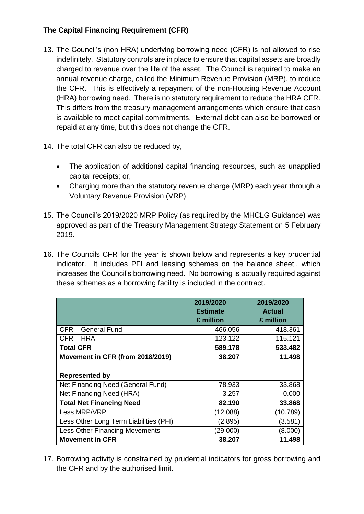# **The Capital Financing Requirement (CFR)**

- 13. The Council's (non HRA) underlying borrowing need (CFR) is not allowed to rise indefinitely. Statutory controls are in place to ensure that capital assets are broadly charged to revenue over the life of the asset. The Council is required to make an annual revenue charge, called the Minimum Revenue Provision (MRP), to reduce the CFR. This is effectively a repayment of the non-Housing Revenue Account (HRA) borrowing need. There is no statutory requirement to reduce the HRA CFR. This differs from the treasury management arrangements which ensure that cash is available to meet capital commitments. External debt can also be borrowed or repaid at any time, but this does not change the CFR.
- 14. The total CFR can also be reduced by,
	- The application of additional capital financing resources, such as unapplied capital receipts; or,
	- Charging more than the statutory revenue charge (MRP) each year through a Voluntary Revenue Provision (VRP)
- 15. The Council's 2019/2020 MRP Policy (as required by the MHCLG Guidance) was approved as part of the Treasury Management Strategy Statement on 5 February 2019.
- 16. The Councils CFR for the year is shown below and represents a key prudential indicator. It includes PFI and leasing schemes on the balance sheet., which increases the Council's borrowing need. No borrowing is actually required against these schemes as a borrowing facility is included in the contract.

|                                        | 2019/2020       | 2019/2020     |
|----------------------------------------|-----------------|---------------|
|                                        | <b>Estimate</b> | <b>Actual</b> |
|                                        | £ million       | £ million     |
| CFR - General Fund                     | 466.056         | 418.361       |
| CFR-HRA                                | 123.122         | 115.121       |
| <b>Total CFR</b>                       | 589.178         | 533.482       |
| Movement in CFR (from 2018/2019)       | 38.207          | 11.498        |
|                                        |                 |               |
| <b>Represented by</b>                  |                 |               |
| Net Financing Need (General Fund)      | 78.933          | 33.868        |
| Net Financing Need (HRA)               | 3.257           | 0.000         |
| <b>Total Net Financing Need</b>        | 82.190          | 33.868        |
| Less MRP/VRP                           | (12.088)        | (10.789)      |
| Less Other Long Term Liabilities (PFI) | (2.895)         | (3.581)       |
| <b>Less Other Financing Movements</b>  | (29.000)        | (8.000)       |
| <b>Movement in CFR</b>                 | 38.207          | 11.498        |

17. Borrowing activity is constrained by prudential indicators for gross borrowing and the CFR and by the authorised limit.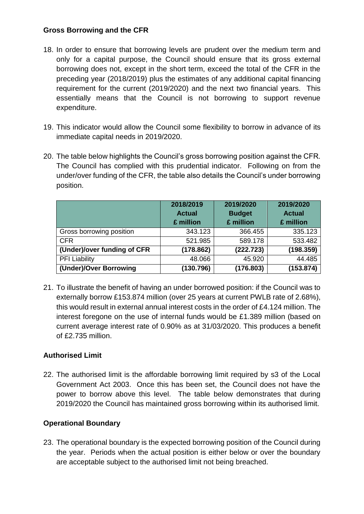#### **Gross Borrowing and the CFR**

- 18. In order to ensure that borrowing levels are prudent over the medium term and only for a capital purpose, the Council should ensure that its gross external borrowing does not, except in the short term, exceed the total of the CFR in the preceding year (2018/2019) plus the estimates of any additional capital financing requirement for the current (2019/2020) and the next two financial years. This essentially means that the Council is not borrowing to support revenue expenditure.
- 19. This indicator would allow the Council some flexibility to borrow in advance of its immediate capital needs in 2019/2020.
- 20. The table below highlights the Council's gross borrowing position against the CFR. The Council has complied with this prudential indicator. Following on from the under/over funding of the CFR, the table also details the Council's under borrowing position.

|                             | 2018/2019<br><b>Actual</b><br>£ million | 2019/2020<br><b>Budget</b><br>£ million | 2019/2020<br><b>Actual</b><br>£ million |
|-----------------------------|-----------------------------------------|-----------------------------------------|-----------------------------------------|
| Gross borrowing position    | 343.123                                 | 366.455                                 | 335.123                                 |
| <b>CFR</b>                  | 521.985                                 | 589.178                                 | 533.482                                 |
| (Under)/over funding of CFR | (178.862)                               | (222.723)                               | (198.359)                               |
| <b>PFI Liability</b>        | 48.066                                  | 45.920                                  | 44.485                                  |
| (Under)/Over Borrowing      | (130.796)                               | (176.803)                               | (153.874)                               |

21. To illustrate the benefit of having an under borrowed position: if the Council was to externally borrow £153.874 million (over 25 years at current PWLB rate of 2.68%), this would result in external annual interest costs in the order of £4.124 million. The interest foregone on the use of internal funds would be £1.389 million (based on current average interest rate of 0.90% as at 31/03/2020. This produces a benefit of £2.735 million.

## **Authorised Limit**

22. The authorised limit is the affordable borrowing limit required by s3 of the Local Government Act 2003. Once this has been set, the Council does not have the power to borrow above this level. The table below demonstrates that during 2019/2020 the Council has maintained gross borrowing within its authorised limit.

## **Operational Boundary**

23. The operational boundary is the expected borrowing position of the Council during the year. Periods when the actual position is either below or over the boundary are acceptable subject to the authorised limit not being breached.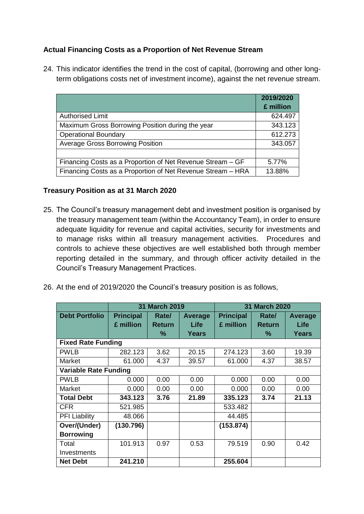# **Actual Financing Costs as a Proportion of Net Revenue Stream**

24. This indicator identifies the trend in the cost of capital, (borrowing and other longterm obligations costs net of investment income), against the net revenue stream.

|                                                             | 2019/2020<br>£ million |
|-------------------------------------------------------------|------------------------|
| <b>Authorised Limit</b>                                     | 624.497                |
| Maximum Gross Borrowing Position during the year            | 343.123                |
| <b>Operational Boundary</b>                                 | 612.273                |
| <b>Average Gross Borrowing Position</b>                     | 343.057                |
|                                                             |                        |
| Financing Costs as a Proportion of Net Revenue Stream – GF  | 5.77%                  |
| Financing Costs as a Proportion of Net Revenue Stream - HRA | 13.88%                 |

## **Treasury Position as at 31 March 2020**

- 25. The Council's treasury management debt and investment position is organised by the treasury management team (within the Accountancy Team), in order to ensure adequate liquidity for revenue and capital activities, security for investments and to manage risks within all treasury management activities. Procedures and controls to achieve these objectives are well established both through member reporting detailed in the summary, and through officer activity detailed in the Council's Treasury Management Practices.
- 26. At the end of 2019/2020 the Council's treasury position is as follows,

|                              | <b>31 March 2019</b> |               |                | 31 March 2020    |               |                |
|------------------------------|----------------------|---------------|----------------|------------------|---------------|----------------|
| <b>Debt Portfolio</b>        | <b>Principal</b>     | Rate/         | <b>Average</b> | <b>Principal</b> | Rate/         | <b>Average</b> |
|                              | £ million            | <b>Return</b> | Life           | £ million        | <b>Return</b> | Life           |
|                              |                      | ℅             | Years          |                  | ℅             | Years          |
| <b>Fixed Rate Funding</b>    |                      |               |                |                  |               |                |
| <b>PWLB</b>                  | 282.123              | 3.62          | 20.15          | 274.123          | 3.60          | 19.39          |
| Market                       | 61.000               | 4.37          | 39.57          | 61.000           | 4.37          | 38.57          |
| <b>Variable Rate Funding</b> |                      |               |                |                  |               |                |
| <b>PWLB</b>                  | 0.000                | 0.00          | 0.00           | 0.000            | 0.00          | 0.00           |
| Market                       | 0.000                | 0.00          | 0.00           | 0.000            | 0.00          | 0.00           |
| <b>Total Debt</b>            | 343.123              | 3.76          | 21.89          | 335.123          | 3.74          | 21.13          |
| <b>CFR</b>                   | 521.985              |               |                | 533.482          |               |                |
| <b>PFI Liability</b>         | 48.066               |               |                | 44.485           |               |                |
| Over/(Under)                 | (130.796)            |               |                | (153.874)        |               |                |
| <b>Borrowing</b>             |                      |               |                |                  |               |                |
| Total                        | 101.913              | 0.97          | 0.53           | 79.519           | 0.90          | 0.42           |
| Investments                  |                      |               |                |                  |               |                |
| <b>Net Debt</b>              | 241.210              |               |                | 255.604          |               |                |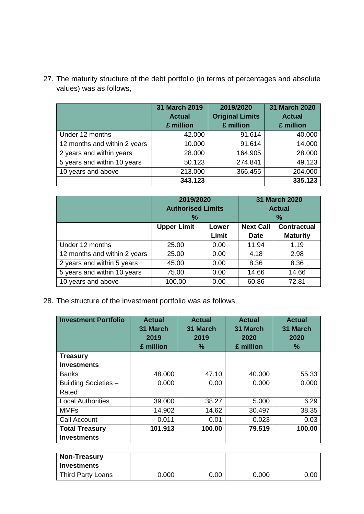27. The maturity structure of the debt portfolio (in terms of percentages and absolute values) was as follows,

|                              | 31 March 2019<br><b>Actual</b><br>£ million | 2019/2020<br><b>Original Limits</b><br>£ million | 31 March 2020<br><b>Actual</b><br>£ million |
|------------------------------|---------------------------------------------|--------------------------------------------------|---------------------------------------------|
| Under 12 months              | 42.000                                      | 91.614                                           | 40.000                                      |
| 12 months and within 2 years | 10.000                                      | 91.614                                           | 14.000                                      |
| 2 years and within years     | 28.000                                      | 164.905                                          | 28.000                                      |
| 5 years and within 10 years  | 50.123                                      | 274.841                                          | 49.123                                      |
| 10 years and above           | 213.000                                     | 366.455                                          | 204.000                                     |
|                              | 343.123                                     |                                                  | 335.123                                     |

|                              | 2019/2020<br><b>Authorised Limits</b><br>$\%$ |      | 31 March 2020<br><b>Actual</b><br>$\%$ |                                       |
|------------------------------|-----------------------------------------------|------|----------------------------------------|---------------------------------------|
|                              | <b>Upper Limit</b><br>Lower<br>Limit          |      | <b>Next Call</b><br><b>Date</b>        | <b>Contractual</b><br><b>Maturity</b> |
| Under 12 months              | 25.00                                         | 0.00 | 11.94                                  | 1.19                                  |
| 12 months and within 2 years | 25.00                                         | 0.00 | 4.18                                   | 2.98                                  |
| 2 years and within 5 years   | 45.00                                         | 0.00 | 8.36                                   | 8.36                                  |
| 5 years and within 10 years  | 75.00                                         | 0.00 | 14.66                                  | 14.66                                 |
| 10 years and above           | 100.00                                        | 0.00 | 60.86                                  | 72.81                                 |

28. The structure of the investment portfolio was as follows,

| <b>Investment Portfolio</b> | <b>Actual</b><br>31 March<br>2019<br>£ million | <b>Actual</b><br>31 March<br>2019<br>℅ | <b>Actual</b><br>31 March<br>2020<br>£ million | <b>Actual</b><br>31 March<br>2020<br>$\%$ |
|-----------------------------|------------------------------------------------|----------------------------------------|------------------------------------------------|-------------------------------------------|
| <b>Treasury</b>             |                                                |                                        |                                                |                                           |
| <b>Investments</b>          |                                                |                                        |                                                |                                           |
| <b>Banks</b>                | 48.000                                         | 47.10                                  | 40.000                                         | 55.33                                     |
| <b>Building Societies -</b> | 0.000                                          | 0.00                                   | 0.000                                          | 0.000                                     |
| Rated                       |                                                |                                        |                                                |                                           |
| <b>Local Authorities</b>    | 39.000                                         | 38.27                                  | 5.000                                          | 6.29                                      |
| <b>MMFs</b>                 | 14.902                                         | 14.62                                  | 30.497                                         | 38.35                                     |
| Call Account                | 0.011                                          | 0.01                                   | 0.023                                          | 0.03                                      |
| <b>Total Treasury</b>       | 101.913                                        | 100.00                                 | 79.519                                         | 100.00                                    |
| <b>Investments</b>          |                                                |                                        |                                                |                                           |

| <b>Non-Treasury</b><br><b>Investments</b> |       |      |       |      |
|-------------------------------------------|-------|------|-------|------|
|                                           |       |      |       |      |
| Third Party Loans                         | 0.000 | 0.00 | 0.000 | 0.00 |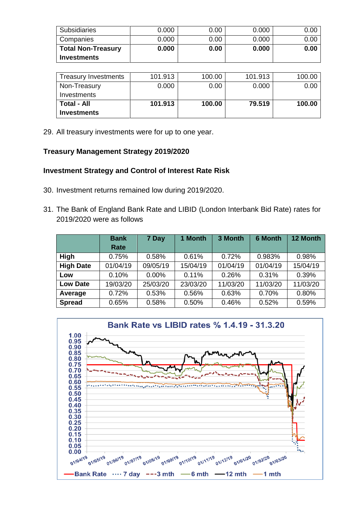| <b>Subsidiaries</b>       | 0.000 | 0.00 | 0.000 | 0.00 |
|---------------------------|-------|------|-------|------|
| Companies                 | 0.000 | 0.00 | 0.000 | 0.OC |
| <b>Total Non-Treasury</b> | 0.000 | 0.00 | 0.000 | 0.00 |
| <b>Investments</b>        |       |      |       |      |

| <b>Treasury Investments</b> | 101.913 | 100.00 | 101.913 | 100.00 |
|-----------------------------|---------|--------|---------|--------|
| Non-Treasury                | 0.000   | 0.00   | 0.000   | 0.00   |
| Investments                 |         |        |         |        |
| ⊩Total - All                | 101.913 | 100.00 | 79.519  | 100.00 |
| <b>Investments</b>          |         |        |         |        |

29. All treasury investments were for up to one year.

#### **Treasury Management Strategy 2019/2020**

#### **Investment Strategy and Control of Interest Rate Risk**

- 30. Investment returns remained low during 2019/2020.
- 31. The Bank of England Bank Rate and LIBID (London Interbank Bid Rate) rates for 2019/2020 were as follows

|                  | <b>Bank</b><br>Rate | 7 Day    | 1 Month  | 3 Month  | <b>6 Month</b> | 12 Month |
|------------------|---------------------|----------|----------|----------|----------------|----------|
| High             | 0.75%               | 0.58%    | 0.61%    | 0.72%    | 0.983%         | 0.98%    |
| <b>High Date</b> | 01/04/19            | 09/05/19 | 15/04/19 | 01/04/19 | 01/04/19       | 15/04/19 |
| Low              | 0.10%               | $0.00\%$ | 0.11%    | 0.26%    | 0.31%          | 0.39%    |
| <b>Low Date</b>  | 19/03/20            | 25/03/20 | 23/03/20 | 11/03/20 | 11/03/20       | 11/03/20 |
| Average          | 0.72%               | 0.53%    | 0.56%    | 0.63%    | 0.70%          | 0.80%    |
| <b>Spread</b>    | 0.65%               | 0.58%    | 0.50%    | 0.46%    | 0.52%          | 0.59%    |

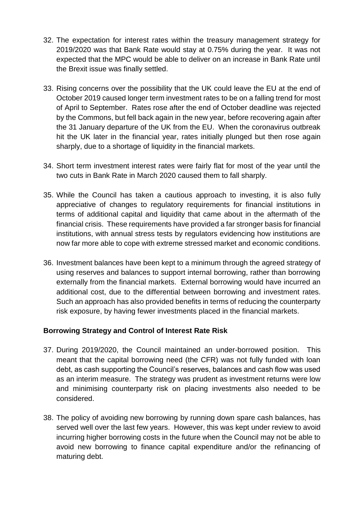- 32. The expectation for interest rates within the treasury management strategy for 2019/2020 was that Bank Rate would stay at 0.75% during the year. It was not expected that the MPC would be able to deliver on an increase in Bank Rate until the Brexit issue was finally settled.
- 33. Rising concerns over the possibility that the UK could leave the EU at the end of October 2019 caused longer term investment rates to be on a falling trend for most of April to September. Rates rose after the end of October deadline was rejected by the Commons, but fell back again in the new year, before recovering again after the 31 January departure of the UK from the EU. When the coronavirus outbreak hit the UK later in the financial year, rates initially plunged but then rose again sharply, due to a shortage of liquidity in the financial markets.
- 34. Short term investment interest rates were fairly flat for most of the year until the two cuts in Bank Rate in March 2020 caused them to fall sharply.
- 35. While the Council has taken a cautious approach to investing, it is also fully appreciative of changes to regulatory requirements for financial institutions in terms of additional capital and liquidity that came about in the aftermath of the financial crisis. These requirements have provided a far stronger basis for financial institutions, with annual stress tests by regulators evidencing how institutions are now far more able to cope with extreme stressed market and economic conditions.
- 36. Investment balances have been kept to a minimum through the agreed strategy of using reserves and balances to support internal borrowing, rather than borrowing externally from the financial markets. External borrowing would have incurred an additional cost, due to the differential between borrowing and investment rates. Such an approach has also provided benefits in terms of reducing the counterparty risk exposure, by having fewer investments placed in the financial markets.

## **Borrowing Strategy and Control of Interest Rate Risk**

- 37. During 2019/2020, the Council maintained an under-borrowed position. This meant that the capital borrowing need (the CFR) was not fully funded with loan debt, as cash supporting the Council's reserves, balances and cash flow was used as an interim measure. The strategy was prudent as investment returns were low and minimising counterparty risk on placing investments also needed to be considered.
- 38. The policy of avoiding new borrowing by running down spare cash balances, has served well over the last few years. However, this was kept under review to avoid incurring higher borrowing costs in the future when the Council may not be able to avoid new borrowing to finance capital expenditure and/or the refinancing of maturing debt.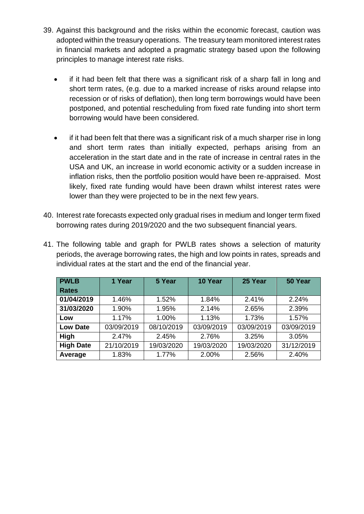- 39. Against this background and the risks within the economic forecast, caution was adopted within the treasury operations. The treasury team monitored interest rates in financial markets and adopted a pragmatic strategy based upon the following principles to manage interest rate risks.
	- if it had been felt that there was a significant risk of a sharp fall in long and short term rates, (e.g. due to a marked increase of risks around relapse into recession or of risks of deflation), then long term borrowings would have been postponed, and potential rescheduling from fixed rate funding into short term borrowing would have been considered.
	- if it had been felt that there was a significant risk of a much sharper rise in long and short term rates than initially expected, perhaps arising from an acceleration in the start date and in the rate of increase in central rates in the USA and UK, an increase in world economic activity or a sudden increase in inflation risks, then the portfolio position would have been re-appraised. Most likely, fixed rate funding would have been drawn whilst interest rates were lower than they were projected to be in the next few years.
- 40. Interest rate forecasts expected only gradual rises in medium and longer term fixed borrowing rates during 2019/2020 and the two subsequent financial years.
- 41. The following table and graph for PWLB rates shows a selection of maturity periods, the average borrowing rates, the high and low points in rates, spreads and individual rates at the start and the end of the financial year.

| <b>PWLB</b>      | 1 Year     | 5 Year     | 10 Year    | 25 Year    | 50 Year    |
|------------------|------------|------------|------------|------------|------------|
| <b>Rates</b>     |            |            |            |            |            |
| 01/04/2019       | 1.46%      | 1.52%      | 1.84%      | 2.41%      | 2.24%      |
| 31/03/2020       | 1.90%      | 1.95%      | 2.14%      | 2.65%      | 2.39%      |
| Low              | 1.17%      | 1.00%      | 1.13%      | 1.73%      | 1.57%      |
| <b>Low Date</b>  | 03/09/2019 | 08/10/2019 | 03/09/2019 | 03/09/2019 | 03/09/2019 |
| <b>High</b>      | 2.47%      | 2.45%      | 2.76%      | 3.25%      | 3.05%      |
| <b>High Date</b> | 21/10/2019 | 19/03/2020 | 19/03/2020 | 19/03/2020 | 31/12/2019 |
| Average          | 1.83%      | 1.77%      | 2.00%      | 2.56%      | 2.40%      |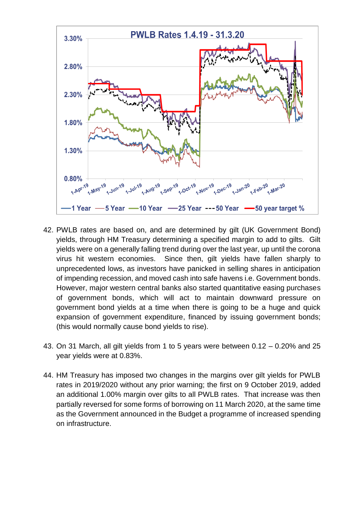

- 42. PWLB rates are based on, and are determined by gilt (UK Government Bond) yields, through HM Treasury determining a specified margin to add to gilts. Gilt yields were on a generally falling trend during over the last year, up until the corona virus hit western economies. Since then, gilt yields have fallen sharply to unprecedented lows, as investors have panicked in selling shares in anticipation of impending recession, and moved cash into safe havens i.e. Government bonds. However, major western central banks also started quantitative easing purchases of government bonds, which will act to maintain downward pressure on government bond yields at a time when there is going to be a huge and quick expansion of government expenditure, financed by issuing government bonds; (this would normally cause bond yields to rise).
- 43. On 31 March, all gilt yields from 1 to 5 years were between 0.12 0.20% and 25 year yields were at 0.83%.
- 44. HM Treasury has imposed two changes in the margins over gilt yields for PWLB rates in 2019/2020 without any prior warning; the first on 9 October 2019, added an additional 1.00% margin over gilts to all PWLB rates. That increase was then partially reversed for some forms of borrowing on 11 March 2020, at the same time as the Government announced in the Budget a programme of increased spending on infrastructure.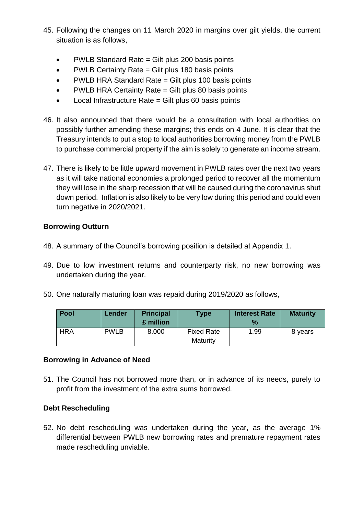- 45. Following the changes on 11 March 2020 in margins over gilt yields, the current situation is as follows,
	- PWLB Standard Rate = Gilt plus 200 basis points
	- PWLB Certainty Rate = Gilt plus 180 basis points
	- PWLB HRA Standard Rate = Gilt plus 100 basis points
	- PWLB HRA Certainty Rate = Gilt plus 80 basis points
	- $\bullet$  Local Infrastructure Rate = Gilt plus 60 basis points
- 46. It also announced that there would be a consultation with local authorities on possibly further amending these margins; this ends on 4 June. It is clear that the Treasury intends to put a stop to local authorities borrowing money from the PWLB to purchase commercial property if the aim is solely to generate an income stream.
- 47. There is likely to be little upward movement in PWLB rates over the next two years as it will take national economies a prolonged period to recover all the momentum they will lose in the sharp recession that will be caused during the coronavirus shut down period. Inflation is also likely to be very low during this period and could even turn negative in 2020/2021.

## **Borrowing Outturn**

- 48. A summary of the Council's borrowing position is detailed at Appendix 1.
- 49. Due to low investment returns and counterparty risk, no new borrowing was undertaken during the year.
- 50. One naturally maturing loan was repaid during 2019/2020 as follows,

| <b>Pool</b> | Lender      | <b>Principal</b><br>£ million | <b>Type</b>                   | <b>Interest Rate</b><br>$\%$ | <b>Maturity</b> |
|-------------|-------------|-------------------------------|-------------------------------|------------------------------|-----------------|
| <b>HRA</b>  | <b>PWLB</b> | 8.000                         | <b>Fixed Rate</b><br>Maturity | 1.99                         | 8 years         |

#### **Borrowing in Advance of Need**

51. The Council has not borrowed more than, or in advance of its needs, purely to profit from the investment of the extra sums borrowed.

#### **Debt Rescheduling**

52. No debt rescheduling was undertaken during the year, as the average 1% differential between PWLB new borrowing rates and premature repayment rates made rescheduling unviable.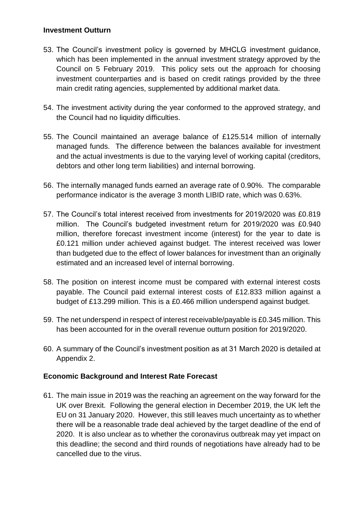#### **Investment Outturn**

- 53. The Council's investment policy is governed by MHCLG investment guidance, which has been implemented in the annual investment strategy approved by the Council on 5 February 2019. This policy sets out the approach for choosing investment counterparties and is based on credit ratings provided by the three main credit rating agencies, supplemented by additional market data.
- 54. The investment activity during the year conformed to the approved strategy, and the Council had no liquidity difficulties.
- 55. The Council maintained an average balance of £125.514 million of internally managed funds. The difference between the balances available for investment and the actual investments is due to the varying level of working capital (creditors, debtors and other long term liabilities) and internal borrowing.
- 56. The internally managed funds earned an average rate of 0.90%. The comparable performance indicator is the average 3 month LIBID rate, which was 0.63%.
- 57. The Council's total interest received from investments for 2019/2020 was £0.819 million. The Council's budgeted investment return for 2019/2020 was £0.940 million, therefore forecast investment income (interest) for the year to date is £0.121 million under achieved against budget. The interest received was lower than budgeted due to the effect of lower balances for investment than an originally estimated and an increased level of internal borrowing.
- 58. The position on interest income must be compared with external interest costs payable. The Council paid external interest costs of £12.833 million against a budget of £13.299 million. This is a £0.466 million underspend against budget.
- 59. The net underspend in respect of interest receivable/payable is £0.345 million. This has been accounted for in the overall revenue outturn position for 2019/2020.
- 60. A summary of the Council's investment position as at 31 March 2020 is detailed at Appendix 2.

## **Economic Background and Interest Rate Forecast**

61. The main issue in 2019 was the reaching an agreement on the way forward for the UK over Brexit. Following the general election in December 2019, the UK left the EU on 31 January 2020. However, this still leaves much uncertainty as to whether there will be a reasonable trade deal achieved by the target deadline of the end of 2020. It is also unclear as to whether the coronavirus outbreak may yet impact on this deadline; the second and third rounds of negotiations have already had to be cancelled due to the virus.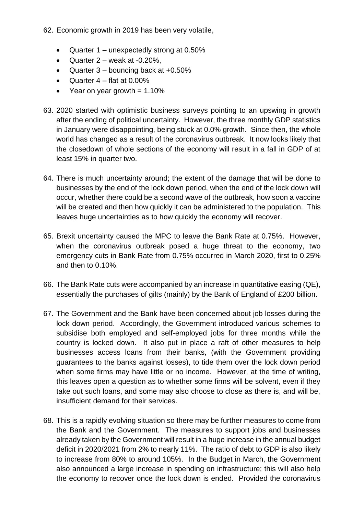- 62. Economic growth in 2019 has been very volatile,
	- Quarter 1 unexpectedly strong at 0.50%
	- Quarter  $2$  weak at  $-0.20\%$ ,
	- $\bullet$  Quarter 3 bouncing back at +0.50%
	- $\bullet$  Quarter 4 flat at 0.00%
	- Year on year growth  $= 1.10\%$
- 63. 2020 started with optimistic business surveys pointing to an upswing in growth after the ending of political uncertainty. However, the three monthly GDP statistics in January were disappointing, being stuck at 0.0% growth. Since then, the whole world has changed as a result of the coronavirus outbreak. It now looks likely that the closedown of whole sections of the economy will result in a fall in GDP of at least 15% in quarter two.
- 64. There is much uncertainty around; the extent of the damage that will be done to businesses by the end of the lock down period, when the end of the lock down will occur, whether there could be a second wave of the outbreak, how soon a vaccine will be created and then how quickly it can be administered to the population. This leaves huge uncertainties as to how quickly the economy will recover.
- 65. Brexit uncertainty caused the MPC to leave the Bank Rate at 0.75%. However, when the coronavirus outbreak posed a huge threat to the economy, two emergency cuts in Bank Rate from 0.75% occurred in March 2020, first to 0.25% and then to 0.10%.
- 66. The Bank Rate cuts were accompanied by an increase in quantitative easing (QE), essentially the purchases of gilts (mainly) by the Bank of England of £200 billion.
- 67. The Government and the Bank have been concerned about job losses during the lock down period. Accordingly, the Government introduced various schemes to subsidise both employed and self-employed jobs for three months while the country is locked down. It also put in place a raft of other measures to help businesses access loans from their banks, (with the Government providing guarantees to the banks against losses), to tide them over the lock down period when some firms may have little or no income. However, at the time of writing, this leaves open a question as to whether some firms will be solvent, even if they take out such loans, and some may also choose to close as there is, and will be, insufficient demand for their services.
- 68. This is a rapidly evolving situation so there may be further measures to come from the Bank and the Government. The measures to support jobs and businesses already taken by the Government will result in a huge increase in the annual budget deficit in 2020/2021 from 2% to nearly 11%. The ratio of debt to GDP is also likely to increase from 80% to around 105%. In the Budget in March, the Government also announced a large increase in spending on infrastructure; this will also help the economy to recover once the lock down is ended. Provided the coronavirus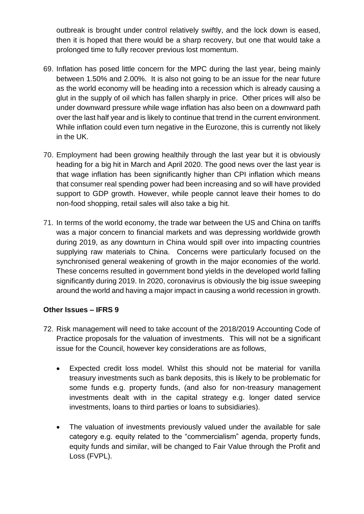outbreak is brought under control relatively swiftly, and the lock down is eased, then it is hoped that there would be a sharp recovery, but one that would take a prolonged time to fully recover previous lost momentum.

- 69. Inflation has posed little concern for the MPC during the last year, being mainly between 1.50% and 2.00%. It is also not going to be an issue for the near future as the world economy will be heading into a recession which is already causing a glut in the supply of oil which has fallen sharply in price. Other prices will also be under downward pressure while wage inflation has also been on a downward path over the last half year and is likely to continue that trend in the current environment. While inflation could even turn negative in the Eurozone, this is currently not likely in the UK.
- 70. Employment had been growing healthily through the last year but it is obviously heading for a big hit in March and April 2020. The good news over the last year is that wage inflation has been significantly higher than CPI inflation which means that consumer real spending power had been increasing and so will have provided support to GDP growth. However, while people cannot leave their homes to do non-food shopping, retail sales will also take a big hit.
- 71. In terms of the world economy, the trade war between the US and China on tariffs was a major concern to financial markets and was depressing worldwide growth during 2019, as any downturn in China would spill over into impacting countries supplying raw materials to China. Concerns were particularly focused on the synchronised general weakening of growth in the major economies of the world. These concerns resulted in government bond yields in the developed world falling significantly during 2019. In 2020, coronavirus is obviously the big issue sweeping around the world and having a major impact in causing a world recession in growth.

## **Other Issues – IFRS 9**

- 72. Risk management will need to take account of the 2018/2019 Accounting Code of Practice proposals for the valuation of investments. This will not be a significant issue for the Council, however key considerations are as follows,
	- Expected credit loss model. Whilst this should not be material for vanilla treasury investments such as bank deposits, this is likely to be problematic for some funds e.g. property funds, (and also for non-treasury management investments dealt with in the capital strategy e.g. longer dated service investments, loans to third parties or loans to subsidiaries).
	- The valuation of investments previously valued under the available for sale category e.g. equity related to the "commercialism" agenda, property funds, equity funds and similar, will be changed to Fair Value through the Profit and Loss (FVPL).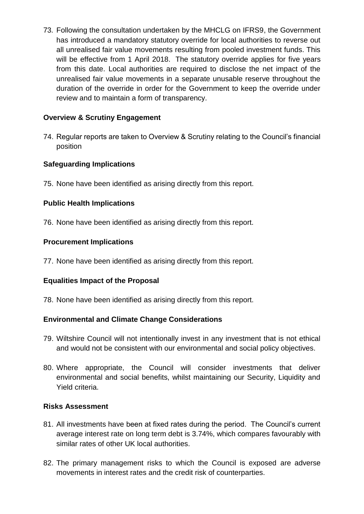73. Following the consultation undertaken by the MHCLG on IFRS9, the Government has introduced a mandatory statutory override for local authorities to reverse out all unrealised fair value movements resulting from pooled investment funds. This will be effective from 1 April 2018. The statutory override applies for five years from this date. Local authorities are required to disclose the net impact of the unrealised fair value movements in a separate unusable reserve throughout the duration of the override in order for the Government to keep the override under review and to maintain a form of transparency.

# **Overview & Scrutiny Engagement**

74. Regular reports are taken to Overview & Scrutiny relating to the Council's financial position

# **Safeguarding Implications**

75. None have been identified as arising directly from this report.

# **Public Health Implications**

76. None have been identified as arising directly from this report.

## **Procurement Implications**

77. None have been identified as arising directly from this report.

## **Equalities Impact of the Proposal**

78. None have been identified as arising directly from this report.

## **Environmental and Climate Change Considerations**

- 79. Wiltshire Council will not intentionally invest in any investment that is not ethical and would not be consistent with our environmental and social policy objectives.
- 80. Where appropriate, the Council will consider investments that deliver environmental and social benefits, whilst maintaining our Security, Liquidity and Yield criteria.

## **Risks Assessment**

- 81. All investments have been at fixed rates during the period. The Council's current average interest rate on long term debt is 3.74%, which compares favourably with similar rates of other UK local authorities.
- 82. The primary management risks to which the Council is exposed are adverse movements in interest rates and the credit risk of counterparties.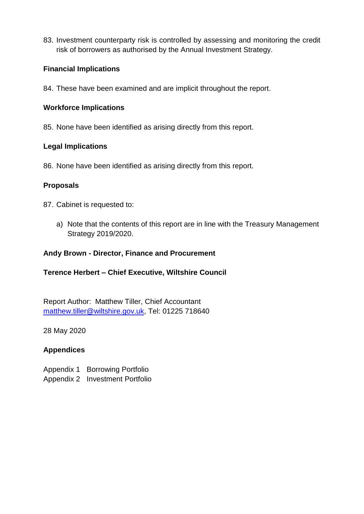83. Investment counterparty risk is controlled by assessing and monitoring the credit risk of borrowers as authorised by the Annual Investment Strategy.

## **Financial Implications**

84. These have been examined and are implicit throughout the report.

#### **Workforce Implications**

85. None have been identified as arising directly from this report.

#### **Legal Implications**

86. None have been identified as arising directly from this report.

#### **Proposals**

- 87. Cabinet is requested to:
	- a) Note that the contents of this report are in line with the Treasury Management Strategy 2019/2020.

#### **Andy Brown - Director, Finance and Procurement**

## **Terence Herbert – Chief Executive, Wiltshire Council**

Report Author: Matthew Tiller, Chief Accountant [matthew.tiller@wiltshire.gov.uk,](mailto:matthew.tiller@wiltshire.gov.uk) Tel: 01225 718640

28 May 2020

## **Appendices**

Appendix 1 Borrowing Portfolio

Appendix 2 Investment Portfolio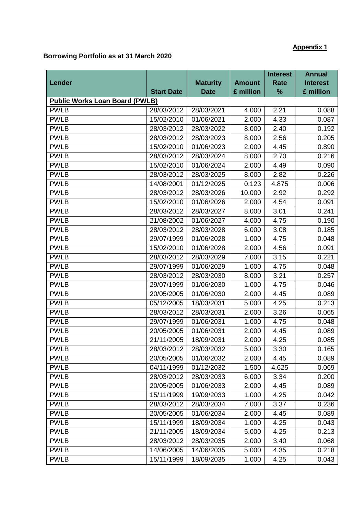# **Appendix 1**

# **Borrowing Portfolio as at 31 March 2020**

|                                       |                   |                 |               | <b>Interest</b> | <b>Annual</b>   |
|---------------------------------------|-------------------|-----------------|---------------|-----------------|-----------------|
| Lender                                |                   | <b>Maturity</b> | <b>Amount</b> | <b>Rate</b>     | <b>Interest</b> |
|                                       | <b>Start Date</b> | <b>Date</b>     | £ million     | %               | £ million       |
| <b>Public Works Loan Board (PWLB)</b> |                   |                 |               |                 |                 |
| <b>PWLB</b>                           | 28/03/2012        | 28/03/2021      | 4.000         | 2.21            | 0.088           |
| <b>PWLB</b>                           | 15/02/2010        | 01/06/2021      | 2.000         | 4.33            | 0.087           |
| <b>PWLB</b>                           | 28/03/2012        | 28/03/2022      | 8.000         | 2.40            | 0.192           |
| <b>PWLB</b>                           | 28/03/2012        | 28/03/2023      | 8.000         | 2.56            | 0.205           |
| <b>PWLB</b>                           | 15/02/2010        | 01/06/2023      | 2.000         | 4.45            | 0.890           |
| <b>PWLB</b>                           | 28/03/2012        | 28/03/2024      | 8.000         | 2.70            | 0.216           |
| <b>PWLB</b>                           | 15/02/2010        | 01/06/2024      | 2.000         | 4.49            | 0.090           |
| <b>PWLB</b>                           | 28/03/2012        | 28/03/2025      | 8.000         | 2.82            | 0.226           |
| <b>PWLB</b>                           | 14/08/2001        | 01/12/2025      | 0.123         | 4.875           | 0.006           |
| <b>PWLB</b>                           | 28/03/2012        | 28/03/2026      | 10.000        | 2.92            | 0.292           |
| <b>PWLB</b>                           | 15/02/2010        | 01/06/2026      | 2.000         | 4.54            | 0.091           |
| <b>PWLB</b>                           | 28/03/2012        | 28/03/2027      | 8.000         | 3.01            | 0.241           |
| <b>PWLB</b>                           | 21/08/2002        | 01/06/2027      | 4.000         | 4.75            | 0.190           |
| <b>PWLB</b>                           | 28/03/2012        | 28/03/2028      | 6.000         | 3.08            | 0.185           |
| <b>PWLB</b>                           | 29/07/1999        | 01/06/2028      | 1.000         | 4.75            | 0.048           |
| <b>PWLB</b>                           | 15/02/2010        | 01/06/2028      | 2.000         | 4.56            | 0.091           |
| <b>PWLB</b>                           | 28/03/2012        | 28/03/2029      | 7.000         | 3.15            | 0.221           |
| <b>PWLB</b>                           | 29/07/1999        | 01/06/2029      | 1.000         | 4.75            | 0.048           |
| <b>PWLB</b>                           | 28/03/2012        | 28/03/2030      | 8.000         | 3.21            | 0.257           |
| <b>PWLB</b>                           | 29/07/1999        | 01/06/2030      | 1.000         | 4.75            | 0.046           |
| <b>PWLB</b>                           | 20/05/2005        | 01/06/2030      | 2.000         | 4.45            | 0.089           |
| <b>PWLB</b>                           | 05/12/2005        | 18/03/2031      | 5.000         | 4.25            | 0.213           |
| <b>PWLB</b>                           | 28/03/2012        | 28/03/2031      | 2.000         | 3.26            | 0.065           |
| <b>PWLB</b>                           | 29/07/1999        | 01/06/2031      | 1.000         | 4.75            | 0.048           |
| <b>PWLB</b>                           | 20/05/2005        | 01/06/2031      | 2.000         | 4.45            | 0.089           |
| <b>PWLB</b>                           | 21/11/2005        | 18/09/2031      | 2.000         | 4.25            | 0.085           |
| <b>PWLB</b>                           | 28/03/2012        | 28/03/2032      | 5.000         | 3.30            | 0.165           |
| <b>PWLB</b>                           | 20/05/2005        | 01/06/2032      | 2.000         | 4.45            | 0.089           |
| <b>PWLB</b>                           | 04/11/1999        | 01/12/2032      | 1.500         | 4.625           | 0.069           |
| <b>PWLB</b>                           | 28/03/2012        | 28/03/2033      | 6.000         | 3.34            | 0.200           |
| <b>PWLB</b>                           | 20/05/2005        | 01/06/2033      | 2.000         | 4.45            | 0.089           |
| <b>PWLB</b>                           | 15/11/1999        | 19/09/2033      | 1.000         | 4.25            | 0.042           |
| <b>PWLB</b>                           | 28/03/2012        | 28/03/2034      | 7.000         | 3.37            | 0.236           |
| <b>PWLB</b>                           | 20/05/2005        | 01/06/2034      | 2.000         | 4.45            | 0.089           |
| <b>PWLB</b>                           | 15/11/1999        | 18/09/2034      | 1.000         | 4.25            | 0.043           |
| <b>PWLB</b>                           | 21/11/2005        | 18/09/2034      | 5.000         | 4.25            | 0.213           |
| <b>PWLB</b>                           | 28/03/2012        | 28/03/2035      | 2.000         | 3.40            | 0.068           |
| <b>PWLB</b>                           | 14/06/2005        | 14/06/2035      | 5.000         | 4.35            | 0.218           |
| <b>PWLB</b>                           | 15/11/1999        | 18/09/2035      | 1.000         | 4.25            | 0.043           |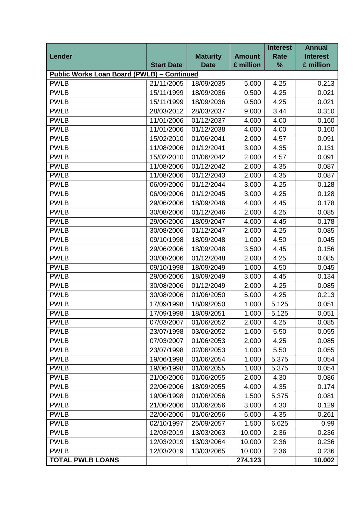|                                                   |                   |                 |               | <b>Interest</b> | <b>Annual</b>   |
|---------------------------------------------------|-------------------|-----------------|---------------|-----------------|-----------------|
| Lender                                            |                   | <b>Maturity</b> | <b>Amount</b> | <b>Rate</b>     | <b>Interest</b> |
|                                                   | <b>Start Date</b> | <b>Date</b>     | £ million     | %               | £ million       |
| <b>Public Works Loan Board (PWLB) - Continued</b> |                   |                 |               |                 |                 |
| <b>PWLB</b>                                       | 21/11/2005        | 18/09/2035      | 5.000         | 4.25            | 0.213           |
| <b>PWLB</b>                                       | 15/11/1999        | 18/09/2036      | 0.500         | 4.25            | 0.021           |
| <b>PWLB</b>                                       | 15/11/1999        | 18/09/2036      | 0.500         | 4.25            | 0.021           |
| <b>PWLB</b>                                       | 28/03/2012        | 28/03/2037      | 9.000         | 3.44            | 0.310           |
| <b>PWLB</b>                                       | 11/01/2006        | 01/12/2037      | 4.000         | 4.00            | 0.160           |
| <b>PWLB</b>                                       | 11/01/2006        | 01/12/2038      | 4.000         | 4.00            | 0.160           |
| <b>PWLB</b>                                       | 15/02/2010        | 01/06/2041      | 2.000         | 4.57            | 0.091           |
| <b>PWLB</b>                                       | 11/08/2006        | 01/12/2041      | 3.000         | 4.35            | 0.131           |
| <b>PWLB</b>                                       | 15/02/2010        | 01/06/2042      | 2.000         | 4.57            | 0.091           |
| <b>PWLB</b>                                       | 11/08/2006        | 01/12/2042      | 2.000         | 4.35            | 0.087           |
| <b>PWLB</b>                                       | 11/08/2006        | 01/12/2043      | 2.000         | 4.35            | 0.087           |
| <b>PWLB</b>                                       | 06/09/2006        | 01/12/2044      | 3.000         | 4.25            | 0.128           |
| <b>PWLB</b>                                       | 06/09/2006        | 01/12/2045      | 3.000         | 4.25            | 0.128           |
| <b>PWLB</b>                                       | 29/06/2006        | 18/09/2046      | 4.000         | 4.45            | 0.178           |
| <b>PWLB</b>                                       | 30/08/2006        | 01/12/2046      | 2.000         | 4.25            | 0.085           |
| <b>PWLB</b>                                       | 29/06/2006        | 18/09/2047      | 4.000         | 4.45            | 0.178           |
| <b>PWLB</b>                                       | 30/08/2006        | 01/12/2047      | 2.000         | 4.25            | 0.085           |
| <b>PWLB</b>                                       | 09/10/1998        | 18/09/2048      | 1.000         | 4.50            | 0.045           |
| <b>PWLB</b>                                       | 29/06/2006        | 18/09/2048      | 3.500         | 4.45            | 0.156           |
| <b>PWLB</b>                                       | 30/08/2006        | 01/12/2048      | 2.000         | 4.25            | 0.085           |
| <b>PWLB</b>                                       | 09/10/1998        | 18/09/2049      | 1.000         | 4.50            | 0.045           |
| <b>PWLB</b>                                       | 29/06/2006        | 18/09/2049      | 3.000         | 4.45            | 0.134           |
| <b>PWLB</b>                                       | 30/08/2006        | 01/12/2049      | 2.000         | 4.25            | 0.085           |
| <b>PWLB</b>                                       | 30/08/2006        | 01/06/2050      | 5.000         | 4.25            | 0.213           |
| <b>PWLB</b>                                       | 17/09/1998        | 18/09/2050      | 1.000         | 5.125           | 0.051           |
| <b>PWLB</b>                                       | 17/09/1998        | 18/09/2051      | 1.000         | 5.125           | 0.051           |
| <b>PWLB</b>                                       | 07/03/2007        | 01/06/2052      | 2.000         | 4.25            | 0.085           |
| <b>PWLB</b>                                       | 23/07/1998        | 03/06/2052      | 1.000         | 5.50            | 0.055           |
| <b>PWLB</b>                                       | 07/03/2007        | 01/06/2053      | 2.000         | 4.25            | 0.085           |
| <b>PWLB</b>                                       | 23/07/1998        | 02/06/2053      | 1.000         | 5.50            | 0.055           |
| <b>PWLB</b>                                       | 19/06/1998        | 01/06/2054      | 1.000         | 5.375           | 0.054           |
| <b>PWLB</b>                                       | 19/06/1998        | 01/06/2055      | 1.000         | 5.375           | 0.054           |
| <b>PWLB</b>                                       | 21/06/2006        | 01/06/2055      | 2.000         | 4.30            | 0.086           |
| <b>PWLB</b>                                       | 22/06/2006        | 18/09/2055      | 4.000         | 4.35            | 0.174           |
| <b>PWLB</b>                                       | 19/06/1998        | 01/06/2056      | 1.500         | 5.375           | 0.081           |
| <b>PWLB</b>                                       | 21/06/2006        | 01/06/2056      | 3.000         | 4.30            | 0.129           |
| <b>PWLB</b>                                       | 22/06/2006        | 01/06/2056      | 6.000         | 4.35            | 0.261           |
| <b>PWLB</b>                                       | 02/10/1997        | 25/09/2057      | 1.500         | 6.625           | 0.99            |
| <b>PWLB</b>                                       | 12/03/2019        | 13/03/2063      | 10.000        | 2.36            | 0.236           |
| <b>PWLB</b>                                       | 12/03/2019        | 13/03/2064      | 10.000        | 2.36            | 0.236           |
| <b>PWLB</b>                                       | 12/03/2019        | 13/03/2065      | 10.000        | 2.36            | 0.236           |
| <b>TOTAL PWLB LOANS</b>                           |                   |                 | 274.123       |                 | 10.002          |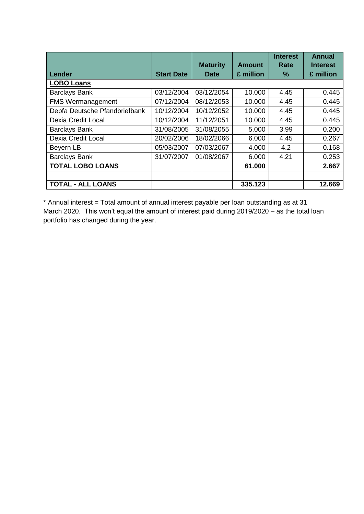|                               |                   |                 |               | <b>Interest</b> | <b>Annual</b>   |
|-------------------------------|-------------------|-----------------|---------------|-----------------|-----------------|
|                               |                   | <b>Maturity</b> | <b>Amount</b> | Rate            | <b>Interest</b> |
| Lender                        | <b>Start Date</b> | <b>Date</b>     | £ million     | $\%$            | £ million       |
| <b>LOBO Loans</b>             |                   |                 |               |                 |                 |
| <b>Barclays Bank</b>          | 03/12/2004        | 03/12/2054      | 10.000        | 4.45            | 0.445           |
| <b>FMS Wermanagement</b>      | 07/12/2004        | 08/12/2053      | 10.000        | 4.45            | 0.445           |
| Depfa Deutsche Pfandbriefbank | 10/12/2004        | 10/12/2052      | 10.000        | 4.45            | 0.445           |
| Dexia Credit Local            | 10/12/2004        | 11/12/2051      | 10.000        | 4.45            | 0.445           |
| <b>Barclays Bank</b>          | 31/08/2005        | 31/08/2055      | 5.000         | 3.99            | 0.200           |
| Dexia Credit Local            | 20/02/2006        | 18/02/2066      | 6.000         | 4.45            | 0.267           |
| Beyern LB                     | 05/03/2007        | 07/03/2067      | 4.000         | 4.2             | 0.168           |
| <b>Barclays Bank</b>          | 31/07/2007        | 01/08/2067      | 6.000         | 4.21            | 0.253           |
| <b>TOTAL LOBO LOANS</b>       |                   |                 | 61.000        |                 | 2.667           |
|                               |                   |                 |               |                 |                 |
| <b>TOTAL - ALL LOANS</b>      |                   |                 | 335.123       |                 | 12.669          |

\* Annual interest = Total amount of annual interest payable per loan outstanding as at 31 March 2020. This won't equal the amount of interest paid during 2019/2020 – as the total loan portfolio has changed during the year.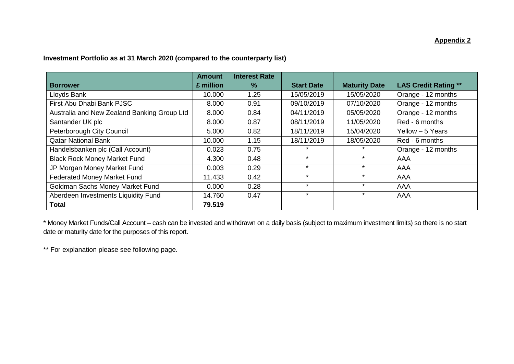#### **Appendix 2**

#### **Investment Portfolio as at 31 March 2020 (compared to the counterparty list)**

|                                             | <b>Amount</b> | <b>Interest Rate</b> |                   |                      |                             |
|---------------------------------------------|---------------|----------------------|-------------------|----------------------|-----------------------------|
| <b>Borrower</b>                             | £ million     | $\frac{9}{6}$        | <b>Start Date</b> | <b>Maturity Date</b> | <b>LAS Credit Rating **</b> |
| Lloyds Bank                                 | 10.000        | 1.25                 | 15/05/2019        | 15/05/2020           | Orange - 12 months          |
| First Abu Dhabi Bank PJSC                   | 8.000         | 0.91                 | 09/10/2019        | 07/10/2020           | Orange - 12 months          |
| Australia and New Zealand Banking Group Ltd | 8.000         | 0.84                 | 04/11/2019        | 05/05/2020           | Orange - 12 months          |
| Santander UK plc                            | 8.000         | 0.87                 | 08/11/2019        | 11/05/2020           | Red - 6 months              |
| Peterborough City Council                   | 5.000         | 0.82                 | 18/11/2019        | 15/04/2020           | Yellow - 5 Years            |
| <b>Qatar National Bank</b>                  | 10.000        | 1.15                 | 18/11/2019        | 18/05/2020           | Red - 6 months              |
| Handelsbanken plc (Call Account)            | 0.023         | 0.75                 |                   |                      | Orange - 12 months          |
| <b>Black Rock Money Market Fund</b>         | 4.300         | 0.48                 | $\star$           |                      | AAA                         |
| JP Morgan Money Market Fund                 | 0.003         | 0.29                 | $\star$           | $\star$              | AAA                         |
| <b>Federated Money Market Fund</b>          | 11.433        | 0.42                 | $\star$           | $\star$              | AAA                         |
| Goldman Sachs Money Market Fund             | 0.000         | 0.28                 | $\star$           | $\cdot$              | AAA                         |
| Aberdeen Investments Liquidity Fund         | 14.760        | 0.47                 | $\star$           | $\star$              | AAA                         |
| <b>Total</b>                                | 79.519        |                      |                   |                      |                             |

\* Money Market Funds/Call Account – cash can be invested and withdrawn on a daily basis (subject to maximum investment limits) so there is no start date or maturity date for the purposes of this report.

\*\* For explanation please see following page.